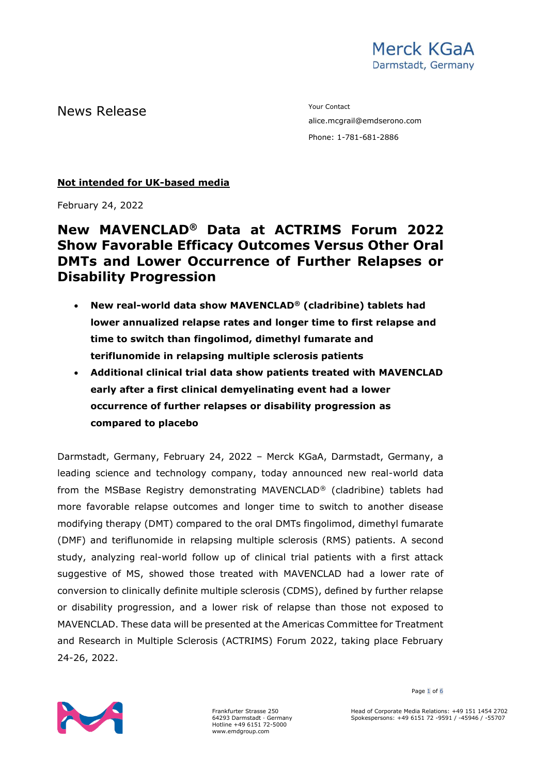News Release The Contact Test of the Media of the Media of the Vour Contact

alice.mcgrail@emdserono.com Phone: 1-781-681-2886

### **Not intended for UK-based media**

February 24, 2022

# **New MAVENCLAD® Data at ACTRIMS Forum 2022 Show Favorable Efficacy Outcomes Versus Other Oral DMTs and Lower Occurrence of Further Relapses or Disability Progression**

- **New real-world data show MAVENCLAD® (cladribine) tablets had lower annualized relapse rates and longer time to first relapse and time to switch than fingolimod, dimethyl fumarate and teriflunomide in relapsing multiple sclerosis patients**
- **Additional clinical trial data show patients treated with MAVENCLAD early after a first clinical demyelinating event had a lower occurrence of further relapses or disability progression as compared to placebo**

Darmstadt, Germany, February 24, 2022 – Merck KGaA, Darmstadt, Germany, a leading science and technology company, today announced new real-world data from the MSBase Registry demonstrating MAVENCLAD® (cladribine) tablets had more favorable relapse outcomes and longer time to switch to another disease modifying therapy (DMT) compared to the oral DMTs fingolimod, dimethyl fumarate (DMF) and teriflunomide in relapsing multiple sclerosis (RMS) patients. A second study, analyzing real-world follow up of clinical trial patients with a first attack suggestive of MS, showed those treated with MAVENCLAD had a lower rate of conversion to clinically definite multiple sclerosis (CDMS), defined by further relapse or disability progression, and a lower risk of relapse than those not exposed to MAVENCLAD. These data will be presented at the Americas Committee for Treatment and Research in Multiple Sclerosis (ACTRIMS) Forum 2022, taking place February 24-26, 2022.



Frankfurter Strasse 250 64293 Darmstadt · Germany Hotline +49 6151 72-5000 www.emdgroup.com

Page 1 of 6

Head of Corporate Media Relations: +49 151 1454 2702 Spokespersons: +49 6151 72 -9591 / -45946 / -55707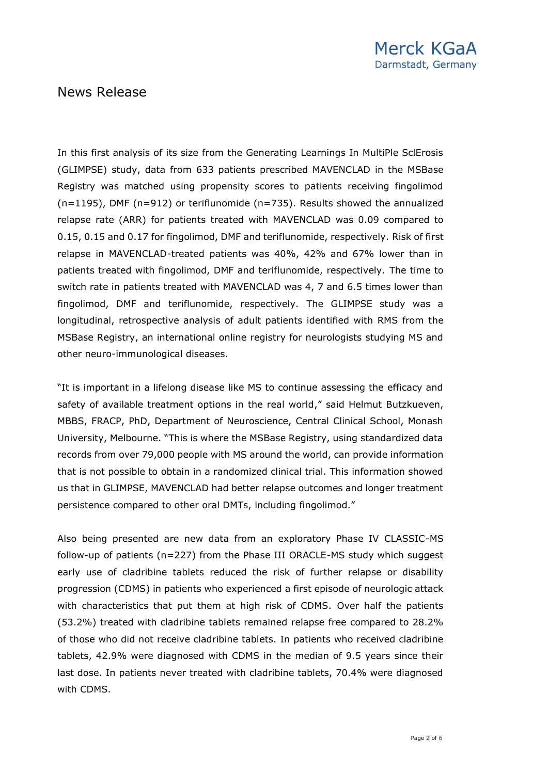In this first analysis of its size from the Generating Learnings In MultiPle SclErosis (GLIMPSE) study, data from 633 patients prescribed MAVENCLAD in the MSBase Registry was matched using propensity scores to patients receiving fingolimod (n=1195), DMF (n=912) or teriflunomide (n=735). Results showed the annualized relapse rate (ARR) for patients treated with MAVENCLAD was 0.09 compared to 0.15, 0.15 and 0.17 for fingolimod, DMF and teriflunomide, respectively. Risk of first relapse in MAVENCLAD-treated patients was 40%, 42% and 67% lower than in patients treated with fingolimod, DMF and teriflunomide, respectively. The time to switch rate in patients treated with MAVENCLAD was 4, 7 and 6.5 times lower than fingolimod, DMF and teriflunomide, respectively. The GLIMPSE study was a longitudinal, retrospective analysis of adult patients identified with RMS from the MSBase Registry, an international online registry for neurologists studying MS and other neuro-immunological diseases.

"It is important in a lifelong disease like MS to continue assessing the efficacy and safety of available treatment options in the real world," said Helmut Butzkueven, MBBS, FRACP, PhD, Department of Neuroscience, Central Clinical School, Monash University, Melbourne. "This is where the MSBase Registry, using standardized data records from over 79,000 people with MS around the world, can provide information that is not possible to obtain in a randomized clinical trial. This information showed us that in GLIMPSE, MAVENCLAD had better relapse outcomes and longer treatment persistence compared to other oral DMTs, including fingolimod."

Also being presented are new data from an exploratory Phase IV CLASSIC-MS follow-up of patients (n=227) from the Phase III ORACLE-MS study which suggest early use of cladribine tablets reduced the risk of further relapse or disability progression (CDMS) in patients who experienced a first episode of neurologic attack with characteristics that put them at high risk of CDMS. Over half the patients (53.2%) treated with cladribine tablets remained relapse free compared to 28.2% of those who did not receive cladribine tablets. In patients who received cladribine tablets, 42.9% were diagnosed with CDMS in the median of 9.5 years since their last dose. In patients never treated with cladribine tablets, 70.4% were diagnosed with CDMS.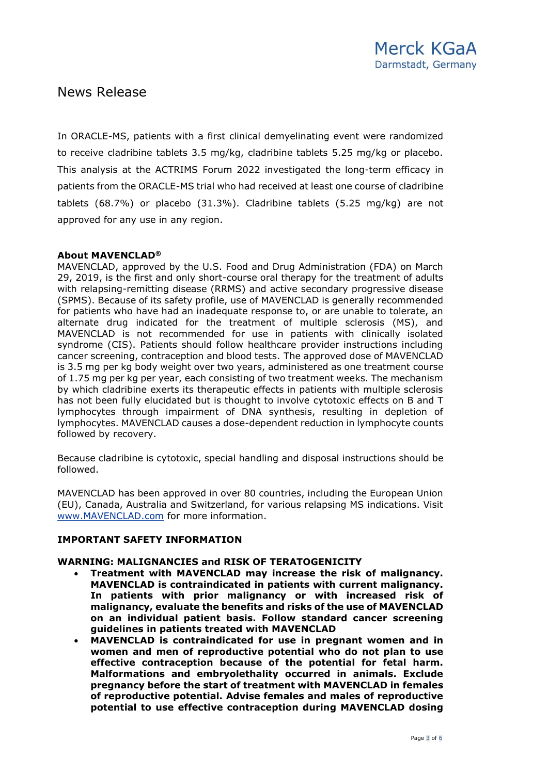In ORACLE-MS, patients with a first clinical demyelinating event were randomized to receive cladribine tablets 3.5 mg/kg, cladribine tablets 5.25 mg/kg or placebo. This analysis at the ACTRIMS Forum 2022 investigated the long-term efficacy in patients from the ORACLE-MS trial who had received at least one course of cladribine tablets (68.7%) or placebo (31.3%). Cladribine tablets (5.25 mg/kg) are not approved for any use in any region.

### **About MAVENCLAD®**

MAVENCLAD, approved by the U.S. Food and Drug Administration (FDA) on March 29, 2019, is the first and only short-course oral therapy for the treatment of adults with relapsing-remitting disease (RRMS) and active secondary progressive disease (SPMS). Because of its safety profile, use of MAVENCLAD is generally recommended for patients who have had an inadequate response to, or are unable to tolerate, an alternate drug indicated for the treatment of multiple sclerosis (MS), and MAVENCLAD is not recommended for use in patients with clinically isolated syndrome (CIS). Patients should follow healthcare provider instructions including cancer screening, contraception and blood tests. The approved dose of MAVENCLAD is 3.5 mg per kg body weight over two years, administered as one treatment course of 1.75 mg per kg per year, each consisting of two treatment weeks. The mechanism by which cladribine exerts its therapeutic effects in patients with multiple sclerosis has not been fully elucidated but is thought to involve cytotoxic effects on B and T lymphocytes through impairment of DNA synthesis, resulting in depletion of lymphocytes. MAVENCLAD causes a dose-dependent reduction in lymphocyte counts followed by recovery.

Because cladribine is cytotoxic, special handling and disposal instructions should be followed.

MAVENCLAD has been approved in over 80 countries, including the European Union (EU), Canada, Australia and Switzerland, for various relapsing MS indications. Visit [www.MAVENCLAD.com](https://c212.net/c/link/?t=0&l=en&o=2427612-1&h=1772676200&u=http%3A%2F%2Fwww.mavenclad.com%2F&a=www.MAVENCLAD.com) for more information.

#### **IMPORTANT SAFETY INFORMATION**

#### **WARNING: MALIGNANCIES and RISK OF TERATOGENICITY**

- **Treatment with MAVENCLAD may increase the risk of malignancy. MAVENCLAD is contraindicated in patients with current malignancy. In patients with prior malignancy or with increased risk of malignancy, evaluate the benefits and risks of the use of MAVENCLAD on an individual patient basis. Follow standard cancer screening guidelines in patients treated with MAVENCLAD**
- **MAVENCLAD is contraindicated for use in pregnant women and in women and men of reproductive potential who do not plan to use effective contraception because of the potential for fetal harm. Malformations and embryolethality occurred in animals. Exclude pregnancy before the start of treatment with MAVENCLAD in females of reproductive potential. Advise females and males of reproductive potential to use effective contraception during MAVENCLAD dosing**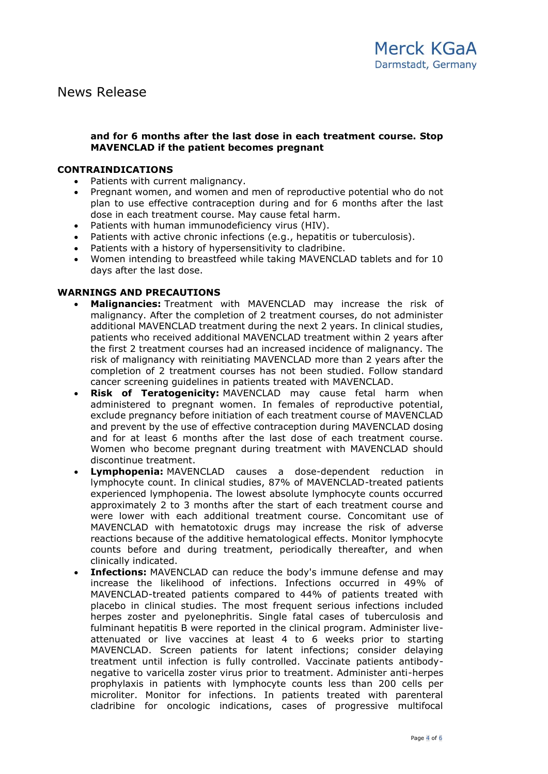#### **and for 6 months after the last dose in each treatment course. Stop MAVENCLAD if the patient becomes pregnant**

#### **CONTRAINDICATIONS**

- Patients with current malignancy.
- Pregnant women, and women and men of reproductive potential who do not plan to use effective contraception during and for 6 months after the last dose in each treatment course. May cause fetal harm.
- Patients with human immunodeficiency virus (HIV).
- Patients with active chronic infections (e.g., hepatitis or tuberculosis).
- Patients with a history of hypersensitivity to cladribine.
- Women intending to breastfeed while taking MAVENCLAD tablets and for 10 days after the last dose.

### **WARNINGS AND PRECAUTIONS**

- **Malignancies:** Treatment with MAVENCLAD may increase the risk of malignancy. After the completion of 2 treatment courses, do not administer additional MAVENCLAD treatment during the next 2 years. In clinical studies, patients who received additional MAVENCLAD treatment within 2 years after the first 2 treatment courses had an increased incidence of malignancy. The risk of malignancy with reinitiating MAVENCLAD more than 2 years after the completion of 2 treatment courses has not been studied. Follow standard cancer screening guidelines in patients treated with MAVENCLAD.
- **Risk of Teratogenicity:** MAVENCLAD may cause fetal harm when administered to pregnant women. In females of reproductive potential, exclude pregnancy before initiation of each treatment course of MAVENCLAD and prevent by the use of effective contraception during MAVENCLAD dosing and for at least 6 months after the last dose of each treatment course. Women who become pregnant during treatment with MAVENCLAD should discontinue treatment.
- **Lymphopenia:** MAVENCLAD causes a dose-dependent reduction in lymphocyte count. In clinical studies, 87% of MAVENCLAD-treated patients experienced lymphopenia. The lowest absolute lymphocyte counts occurred approximately 2 to 3 months after the start of each treatment course and were lower with each additional treatment course. Concomitant use of MAVENCLAD with hematotoxic drugs may increase the risk of adverse reactions because of the additive hematological effects. Monitor lymphocyte counts before and during treatment, periodically thereafter, and when clinically indicated.
- **Infections:** MAVENCLAD can reduce the body's immune defense and may increase the likelihood of infections. Infections occurred in 49% of MAVENCLAD-treated patients compared to 44% of patients treated with placebo in clinical studies. The most frequent serious infections included herpes zoster and pyelonephritis. Single fatal cases of tuberculosis and fulminant hepatitis B were reported in the clinical program. Administer liveattenuated or live vaccines at least 4 to 6 weeks prior to starting MAVENCLAD. Screen patients for latent infections; consider delaying treatment until infection is fully controlled. Vaccinate patients antibodynegative to varicella zoster virus prior to treatment. Administer anti-herpes prophylaxis in patients with lymphocyte counts less than 200 cells per microliter. Monitor for infections. In patients treated with parenteral cladribine for oncologic indications, cases of progressive multifocal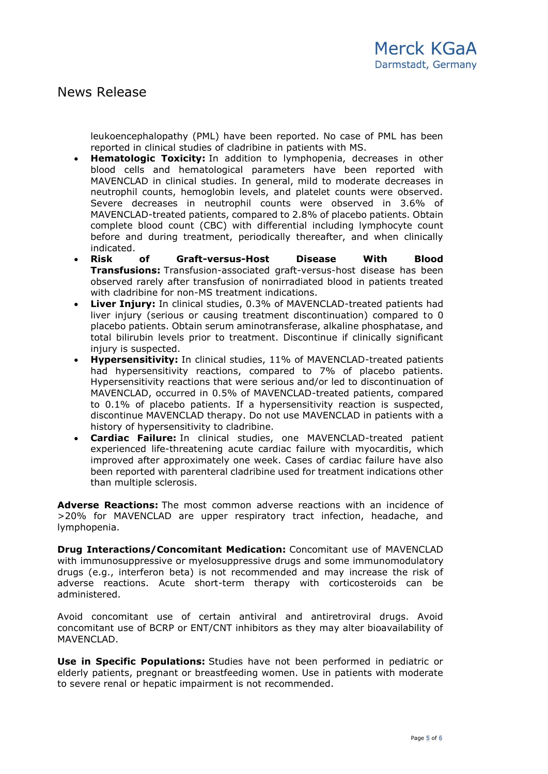leukoencephalopathy (PML) have been reported. No case of PML has been reported in clinical studies of cladribine in patients with MS.

- **Hematologic Toxicity:** In addition to lymphopenia, decreases in other blood cells and hematological parameters have been reported with MAVENCLAD in clinical studies. In general, mild to moderate decreases in neutrophil counts, hemoglobin levels, and platelet counts were observed. Severe decreases in neutrophil counts were observed in 3.6% of MAVENCLAD-treated patients, compared to 2.8% of placebo patients. Obtain complete blood count (CBC) with differential including lymphocyte count before and during treatment, periodically thereafter, and when clinically indicated.
- **Risk of Graft-versus-Host Disease With Blood Transfusions:** Transfusion-associated graft-versus-host disease has been observed rarely after transfusion of nonirradiated blood in patients treated with cladribine for non-MS treatment indications.
- **Liver Injury:** In clinical studies, 0.3% of MAVENCLAD-treated patients had liver injury (serious or causing treatment discontinuation) compared to 0 placebo patients. Obtain serum aminotransferase, alkaline phosphatase, and total bilirubin levels prior to treatment. Discontinue if clinically significant injury is suspected.
- **Hypersensitivity:** In clinical studies, 11% of MAVENCLAD-treated patients had hypersensitivity reactions, compared to 7% of placebo patients. Hypersensitivity reactions that were serious and/or led to discontinuation of MAVENCLAD, occurred in 0.5% of MAVENCLAD-treated patients, compared to 0.1% of placebo patients. If a hypersensitivity reaction is suspected, discontinue MAVENCLAD therapy. Do not use MAVENCLAD in patients with a history of hypersensitivity to cladribine.
- **Cardiac Failure:** In clinical studies, one MAVENCLAD-treated patient experienced life-threatening acute cardiac failure with myocarditis, which improved after approximately one week. Cases of cardiac failure have also been reported with parenteral cladribine used for treatment indications other than multiple sclerosis.

**Adverse Reactions:** The most common adverse reactions with an incidence of >20% for MAVENCLAD are upper respiratory tract infection, headache, and lymphopenia.

**Drug Interactions/Concomitant Medication:** Concomitant use of MAVENCLAD with immunosuppressive or myelosuppressive drugs and some immunomodulatory drugs (e.g., interferon beta) is not recommended and may increase the risk of adverse reactions. Acute short-term therapy with corticosteroids can be administered.

Avoid concomitant use of certain antiviral and antiretroviral drugs. Avoid concomitant use of BCRP or ENT/CNT inhibitors as they may alter bioavailability of MAVENCLAD.

**Use in Specific Populations:** Studies have not been performed in pediatric or elderly patients, pregnant or breastfeeding women. Use in patients with moderate to severe renal or hepatic impairment is not recommended.